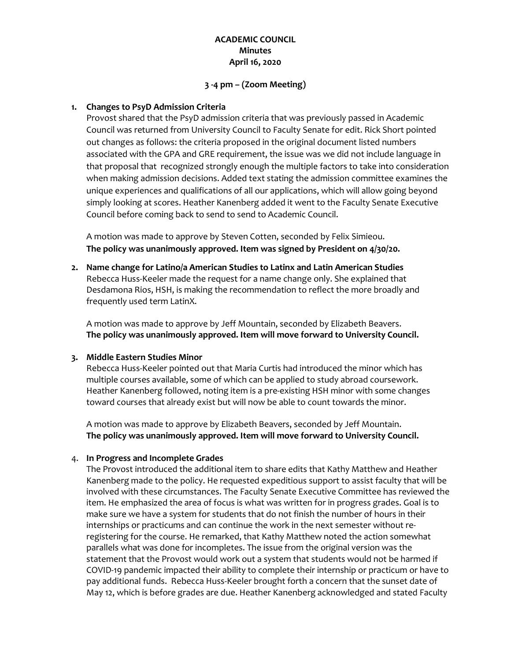# **ACADEMIC COUNCIL Minutes April 16, 2020**

#### **3 -4 pm – (Zoom Meeting)**

#### **1. Changes to PsyD Admission Criteria**

Provost shared that the PsyD admission criteria that was previously passed in Academic Council was returned from University Council to Faculty Senate for edit. Rick Short pointed out changes as follows: the criteria proposed in the original document listed numbers associated with the GPA and GRE requirement, the issue was we did not include language in that proposal that recognized strongly enough the multiple factors to take into consideration when making admission decisions. Added text stating the admission committee examines the unique experiences and qualifications of all our applications, which will allow going beyond simply looking at scores. Heather Kanenberg added it went to the Faculty Senate Executive Council before coming back to send to send to Academic Council.

A motion was made to approve by Steven Cotten, seconded by Felix Simieou. **The policy was unanimously approved. Item was signed by President on 4/30/20.**

**2. Name change for Latino/a American Studies to Latinx and Latin American Studies** Rebecca Huss-Keeler made the request for a name change only. She explained that Desdamona Rios, HSH, is making the recommendation to reflect the more broadly and frequently used term LatinX.

A motion was made to approve by Jeff Mountain, seconded by Elizabeth Beavers. **The policy was unanimously approved. Item will move forward to University Council.**

## **3. Middle Eastern Studies Minor**

Rebecca Huss-Keeler pointed out that Maria Curtis had introduced the minor which has multiple courses available, some of which can be applied to study abroad coursework. Heather Kanenberg followed, noting item is a pre-existing HSH minor with some changes toward courses that already exist but will now be able to count towards the minor.

A motion was made to approve by Elizabeth Beavers, seconded by Jeff Mountain. **The policy was unanimously approved. Item will move forward to University Council.**

## 4. **In Progress and Incomplete Grades**

The Provost introduced the additional item to share edits that Kathy Matthew and Heather Kanenberg made to the policy. He requested expeditious support to assist faculty that will be involved with these circumstances. The Faculty Senate Executive Committee has reviewed the item. He emphasized the area of focus is what was written for in progress grades. Goal is to make sure we have a system for students that do not finish the number of hours in their internships or practicums and can continue the work in the next semester without reregistering for the course. He remarked, that Kathy Matthew noted the action somewhat parallels what was done for incompletes. The issue from the original version was the statement that the Provost would work out a system that students would not be harmed if COVID-19 pandemic impacted their ability to complete their internship or practicum or have to pay additional funds. Rebecca Huss-Keeler brought forth a concern that the sunset date of May 12, which is before grades are due. Heather Kanenberg acknowledged and stated Faculty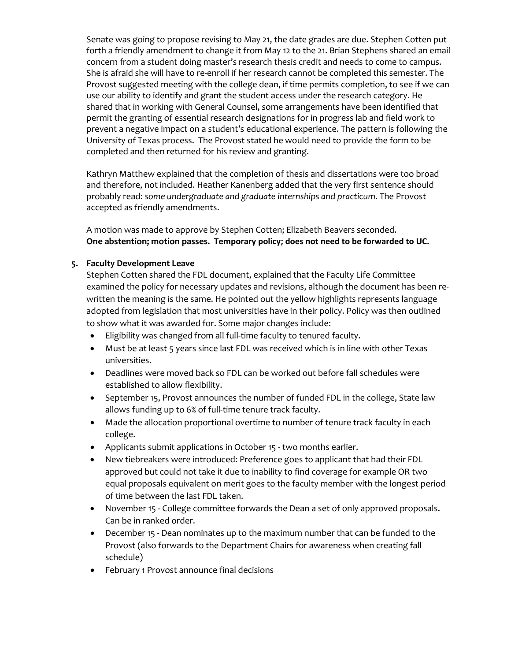Senate was going to propose revising to May 21, the date grades are due. Stephen Cotten put forth a friendly amendment to change it from May 12 to the 21. Brian Stephens shared an email concern from a student doing master's research thesis credit and needs to come to campus. She is afraid she will have to re-enroll if her research cannot be completed this semester. The Provost suggested meeting with the college dean, if time permits completion, to see if we can use our ability to identify and grant the student access under the research category. He shared that in working with General Counsel, some arrangements have been identified that permit the granting of essential research designations for in progress lab and field work to prevent a negative impact on a student's educational experience. The pattern is following the University of Texas process. The Provost stated he would need to provide the form to be completed and then returned for his review and granting.

Kathryn Matthew explained that the completion of thesis and dissertations were too broad and therefore, not included. Heather Kanenberg added that the very first sentence should probably read: *some undergraduate and graduate internships and practicum*. The Provost accepted as friendly amendments.

A motion was made to approve by Stephen Cotten; Elizabeth Beavers seconded. **One abstention; motion passes. Temporary policy; does not need to be forwarded to UC.**

## **5. Faculty Development Leave**

Stephen Cotten shared the FDL document, explained that the Faculty Life Committee examined the policy for necessary updates and revisions, although the document has been rewritten the meaning is the same. He pointed out the yellow highlights represents language adopted from legislation that most universities have in their policy. Policy was then outlined to show what it was awarded for. Some major changes include:

- Eligibility was changed from all full-time faculty to tenured faculty.
- Must be at least 5 years since last FDL was received which is in line with other Texas universities.
- Deadlines were moved back so FDL can be worked out before fall schedules were established to allow flexibility.
- September 15, Provost announces the number of funded FDL in the college, State law allows funding up to 6% of full-time tenure track faculty.
- Made the allocation proportional overtime to number of tenure track faculty in each college.
- Applicants submit applications in October 15 two months earlier.
- New tiebreakers were introduced: Preference goes to applicant that had their FDL approved but could not take it due to inability to find coverage for example OR two equal proposals equivalent on merit goes to the faculty member with the longest period of time between the last FDL taken.
- November 15 College committee forwards the Dean a set of only approved proposals. Can be in ranked order.
- December 15 Dean nominates up to the maximum number that can be funded to the Provost (also forwards to the Department Chairs for awareness when creating fall schedule)
- February 1 Provost announce final decisions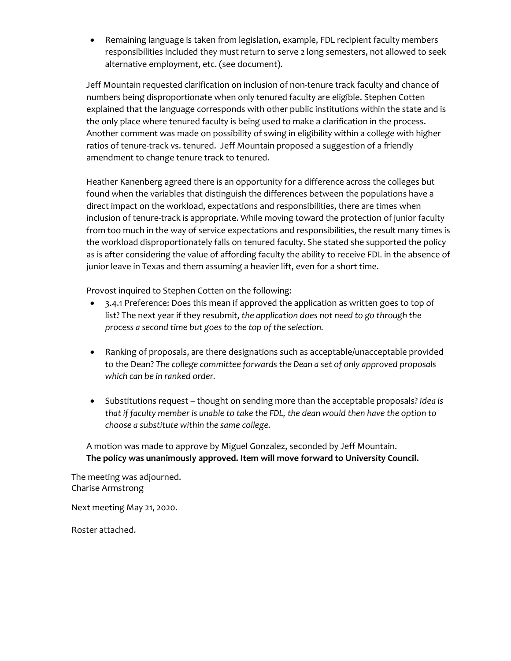• Remaining language is taken from legislation, example, FDL recipient faculty members responsibilities included they must return to serve 2 long semesters, not allowed to seek alternative employment, etc. (see document).

Jeff Mountain requested clarification on inclusion of non-tenure track faculty and chance of numbers being disproportionate when only tenured faculty are eligible. Stephen Cotten explained that the language corresponds with other public institutions within the state and is the only place where tenured faculty is being used to make a clarification in the process. Another comment was made on possibility of swing in eligibility within a college with higher ratios of tenure-track vs. tenured. Jeff Mountain proposed a suggestion of a friendly amendment to change tenure track to tenured.

Heather Kanenberg agreed there is an opportunity for a difference across the colleges but found when the variables that distinguish the differences between the populations have a direct impact on the workload, expectations and responsibilities, there are times when inclusion of tenure-track is appropriate. While moving toward the protection of junior faculty from too much in the way of service expectations and responsibilities, the result many times is the workload disproportionately falls on tenured faculty. She stated she supported the policy as is after considering the value of affording faculty the ability to receive FDL in the absence of junior leave in Texas and them assuming a heavier lift, even for a short time.

Provost inquired to Stephen Cotten on the following:

- 3.4.1 Preference: Does this mean if approved the application as written goes to top of list? The next year if they resubmit, *the application does not need to go through the process a second time but goes to the top of the selection.*
- Ranking of proposals, are there designations such as acceptable/unacceptable provided to the Dean? *The college committee forwards the Dean a set of only approved proposals which can be in ranked order.*
- Substitutions request thought on sending more than the acceptable proposals? *Idea is that if faculty member is unable to take the FDL, the dean would then have the option to choose a substitute within the same college.*

A motion was made to approve by Miguel Gonzalez, seconded by Jeff Mountain. **The policy was unanimously approved. Item will move forward to University Council.**

The meeting was adjourned. Charise Armstrong

Next meeting May 21, 2020.

Roster attached.